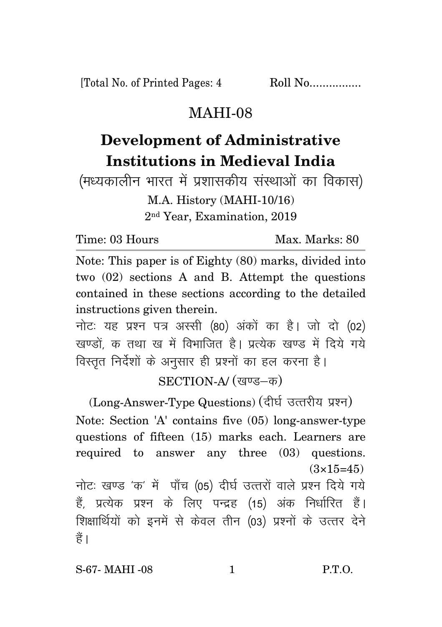[Total No. of Printed Pages: 4 Roll No.................

## MAHI-08

## **Development of Administrative Institutions in Medieval India**

(मध्यकालीन भारत में प्रशासकीय संस्थाओं का विकास) M.A. History (MAHI-10/16) 2 nd Year, Examination, 2019

Time: 03 Hours Max. Marks: 80

Note: This paper is of Eighty (80) marks, divided into two (02) sections A and B. Attempt the questions contained in these sections according to the detailed instructions given therein.

नोट: यह प्रश्न पत्र अस्सी (80) अंकों का है। जो दो (02) खण्डों क तथा ख में विभाजित है। प्रत्येक खण्ड में दिये गये विस्तृत निर्देशों के अनुसार ही प्रश्नों का हल करना है।

SECTION-A/ (खण्ड-क)

(Long-Answer-Type Questions) (दीर्घ उत्तरीय प्रश्न) Note: Section 'A' contains five (05) long-answer-type questions of fifteen (15) marks each. Learners are required to answer any three (03) questions.  $(3\times15=45)$ नोटः खण्ड 'क' में पाँच (05) दीर्घ उत्तरों वाले प्रश्न दिये गये हैं, प्रत्येक प्रश्न के लिए पन्द्रह (15) अंक निर्धारित हैं। शिक्षार्थियों को इनमें से केवल तीन (03) प्रश्नों के उत्तर देने हैं ।

S-67- MAHI -08 1 P.T.O.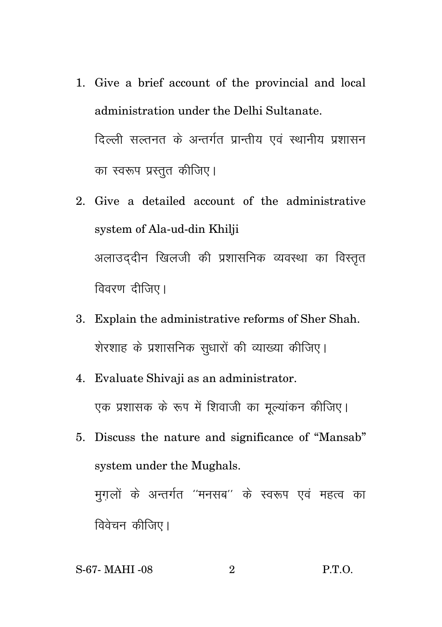- 1. Give a brief account of the provincial and local administration under the Delhi Sultanate. दिल्ली सल्तनत के अन्तर्गत प्रान्तीय एवं स्थानीय प्रशासन का स्वरूप प्रस्तुत कीजिए।
- 2. Give a detailed account of the administrative system of Ala-ud-din Khilji अलाउददीन खिलजी की प्रशासनिक व्यवस्था का विस्तुत विवरण दीजिए।
- 3. Explain the administrative reforms of Sher Shah. शेरशाह के प्रशासनिक सुधारों की व्याख्या कीजिए।
- 4. Evaluate Shivaji as an administrator. एक प्रशासक के रूप में शिवाजी का मूल्यांकन कीजिए।
- 5. Discuss the nature and significance of "Mansab" system under the Mughals. मुगलों के अन्तर्गत ''मनसब'' के स्वरूप एवं महत्व का विवेचन कीजिए।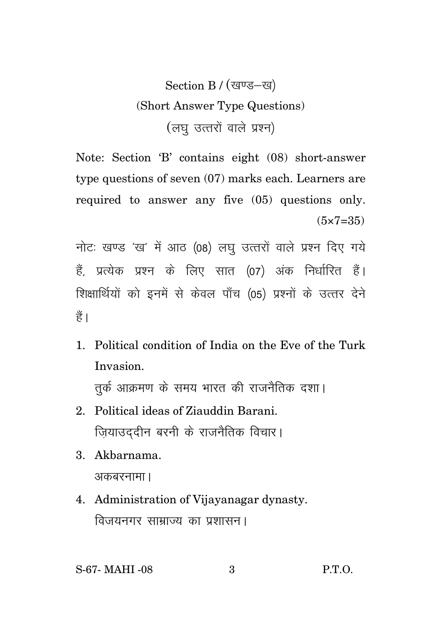## Section B / (खण्ड-ख) (Short Answer Type Questions) (लघु उत्तरों वाले प्रश्न)

Note: Section 'B' contains eight (08) short-answer type questions of seven (07) marks each. Learners are required to answer any five (05) questions only.  $(5 \times 7 = 35)$ 

नोटः खण्ड 'ख' में आठ (08) लघु उत्तरों वाले प्रश्न दिए गये हैं. प्रत्येक प्रश्न के लिए सात (07) अंक निर्धारित हैं। शिक्षार्थियों को इनमें से केवल पाँच (05) प्रश्नों के उत्तर देने  $\frac{4}{5}$ 

1. Political condition of India on the Eve of the Turk Invasion.

तुर्क आक्रमण के समय भारत की राजनैतिक दशा।

- 2. Political ideas of Ziauddin Barani. ज़ियाउददीन बरनी के राजनैतिक विचार।
- 3. Akbarnama. अकबरनामा ।
- 4. Administration of Vijayanagar dynasty. विजयनगर साम्राज्य का प्रशासन।